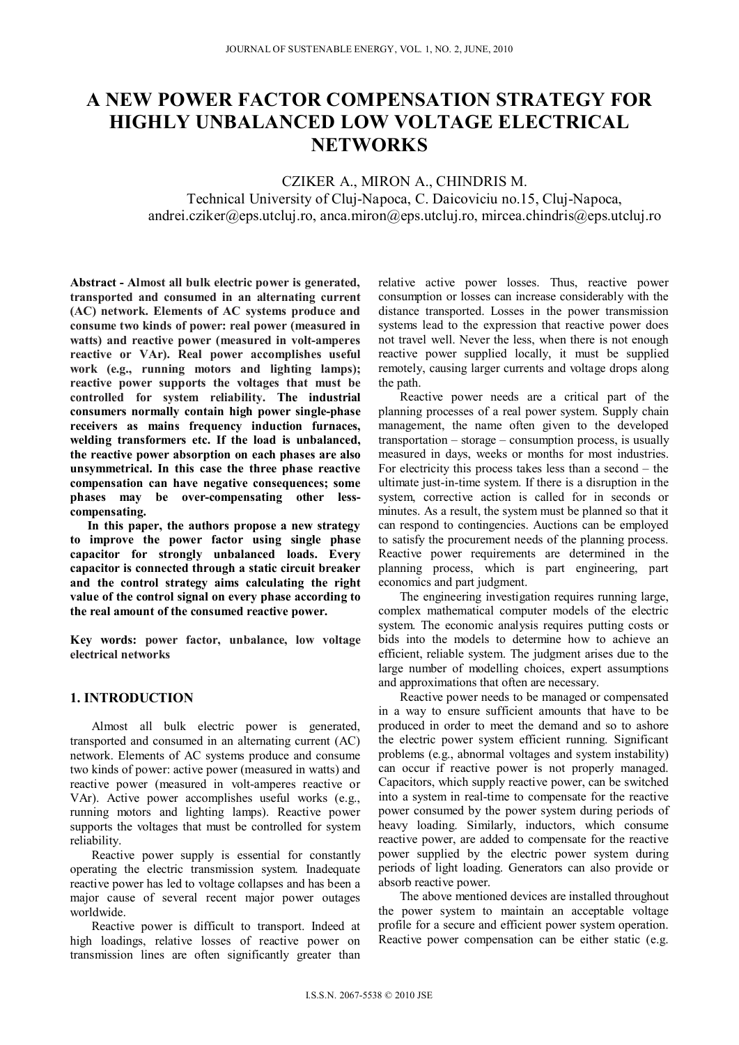# **A NEW POWER FACTOR COMPENSATION STRATEGY FOR HIGHLY UNBALANCED LOW VOLTAGE ELECTRICAL NETWORKS**

# CZIKER A., MIRON A., CHINDRIS M.

Technical University of Cluj-Napoca, C. Daicoviciu no.15, Cluj-Napoca, andrei.cziker@eps.utcluj.ro, anca.miron@eps.utcluj.ro, mircea.chindris@eps.utcluj.ro

**Abstract - Almost all bulk electric power is generated, transported and consumed in an alternating current (AC) network. Elements of AC systems produce and consume two kinds of power: real power (measured in watts) and reactive power (measured in volt-amperes reactive or VAr). Real power accomplishes useful work (e.g., running motors and lighting lamps); reactive power supports the voltages that must be controlled for system reliability. The industrial consumers normally contain high power single-phase receivers as mains frequency induction furnaces, welding transformers etc. If the load is unbalanced, the reactive power absorption on each phases are also unsymmetrical. In this case the three phase reactive compensation can have negative consequences; some phases may be over-compensating other lesscompensating.** 

**In this paper, the authors propose a new strategy to improve the power factor using single phase capacitor for strongly unbalanced loads. Every capacitor is connected through a static circuit breaker and the control strategy aims calculating the right value of the control signal on every phase according to the real amount of the consumed reactive power.** 

**Key words: power factor, unbalance, low voltage electrical networks**

## **1. INTRODUCTION**

Almost all bulk electric power is generated, transported and consumed in an alternating current (AC) network. Elements of AC systems produce and consume two kinds of power: active power (measured in watts) and reactive power (measured in volt-amperes reactive or VAr). Active power accomplishes useful works (e.g., running motors and lighting lamps). Reactive power supports the voltages that must be controlled for system reliability.

Reactive power supply is essential for constantly operating the electric transmission system. Inadequate reactive power has led to voltage collapses and has been a major cause of several recent major power outages worldwide.

Reactive power is difficult to transport. Indeed at high loadings, relative losses of reactive power on transmission lines are often significantly greater than

relative active power losses. Thus, reactive power consumption or losses can increase considerably with the distance transported. Losses in the power transmission systems lead to the expression that reactive power does not travel well. Never the less, when there is not enough reactive power supplied locally, it must be supplied remotely, causing larger currents and voltage drops along the path.

Reactive power needs are a critical part of the planning processes of a real power system. Supply chain management, the name often given to the developed transportation – storage – consumption process, is usually measured in days, weeks or months for most industries. For electricity this process takes less than a second – the ultimate just-in-time system. If there is a disruption in the system, corrective action is called for in seconds or minutes. As a result, the system must be planned so that it can respond to contingencies. Auctions can be employed to satisfy the procurement needs of the planning process. Reactive power requirements are determined in the planning process, which is part engineering, part economics and part judgment.

The engineering investigation requires running large, complex mathematical computer models of the electric system. The economic analysis requires putting costs or bids into the models to determine how to achieve an efficient, reliable system. The judgment arises due to the large number of modelling choices, expert assumptions and approximations that often are necessary.

Reactive power needs to be managed or compensated in a way to ensure sufficient amounts that have to be produced in order to meet the demand and so to ashore the electric power system efficient running. Significant problems (e.g., abnormal voltages and system instability) can occur if reactive power is not properly managed. Capacitors, which supply reactive power, can be switched into a system in real-time to compensate for the reactive power consumed by the power system during periods of heavy loading. Similarly, inductors, which consume reactive power, are added to compensate for the reactive power supplied by the electric power system during periods of light loading. Generators can also provide or absorb reactive power.

The above mentioned devices are installed throughout the power system to maintain an acceptable voltage profile for a secure and efficient power system operation. Reactive power compensation can be either static (e.g.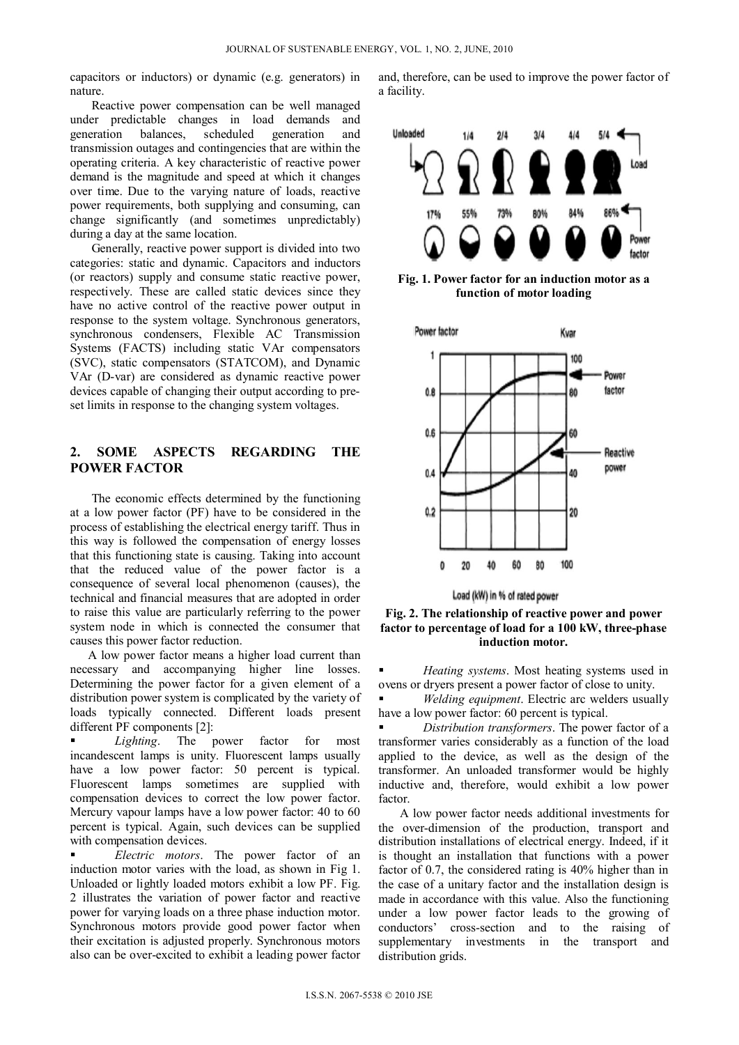capacitors or inductors) or dynamic (e.g. generators) in nature.

Reactive power compensation can be well managed under predictable changes in load demands and generation balances, scheduled generation and transmission outages and contingencies that are within the operating criteria. A key characteristic of reactive power demand is the magnitude and speed at which it changes over time. Due to the varying nature of loads, reactive power requirements, both supplying and consuming, can change significantly (and sometimes unpredictably) during a day at the same location.

Generally, reactive power support is divided into two categories: static and dynamic. Capacitors and inductors (or reactors) supply and consume static reactive power, respectively. These are called static devices since they have no active control of the reactive power output in response to the system voltage. Synchronous generators, synchronous condensers, Flexible AC Transmission Systems (FACTS) including static VAr compensators (SVC), static compensators (STATCOM), and Dynamic VAr (D-var) are considered as dynamic reactive power devices capable of changing their output according to preset limits in response to the changing system voltages.

### **2. SOME ASPECTS REGARDING THE POWER FACTOR**

The economic effects determined by the functioning at a low power factor (PF) have to be considered in the process of establishing the electrical energy tariff. Thus in this way is followed the compensation of energy losses that this functioning state is causing. Taking into account that the reduced value of the power factor is a consequence of several local phenomenon (causes), the technical and financial measures that are adopted in order to raise this value are particularly referring to the power system node in which is connected the consumer that causes this power factor reduction.

A low power factor means a higher load current than necessary and accompanying higher line losses. Determining the power factor for a given element of a distribution power system is complicated by the variety of loads typically connected. Different loads present different PF components [2]:

 *Lighting*. The power factor for most incandescent lamps is unity. Fluorescent lamps usually have a low power factor: 50 percent is typical. Fluorescent lamps sometimes are supplied with compensation devices to correct the low power factor. Mercury vapour lamps have a low power factor: 40 to 60 percent is typical. Again, such devices can be supplied with compensation devices.

 *Electric motors*. The power factor of an induction motor varies with the load, as shown in Fig 1. Unloaded or lightly loaded motors exhibit a low PF. Fig. 2 illustrates the variation of power factor and reactive power for varying loads on a three phase induction motor. Synchronous motors provide good power factor when their excitation is adjusted properly. Synchronous motors also can be over-excited to exhibit a leading power factor and, therefore, can be used to improve the power factor of a facility.



**Fig. 1. Power factor for an induction motor as a function of motor loading**



Load (kW) in % of rated power

**Fig. 2. The relationship of reactive power and power factor to percentage of load for a 100 kW, three-phase induction motor.** 

 *Heating systems*. Most heating systems used in ovens or dryers present a power factor of close to unity.

**•** *Welding equipment*. Electric arc welders usually have a low power factor: 60 percent is typical.

 *Distribution transformers*. The power factor of a transformer varies considerably as a function of the load applied to the device, as well as the design of the transformer. An unloaded transformer would be highly inductive and, therefore, would exhibit a low power factor.

A low power factor needs additional investments for the over-dimension of the production, transport and distribution installations of electrical energy. Indeed, if it is thought an installation that functions with a power factor of 0.7, the considered rating is 40% higher than in the case of a unitary factor and the installation design is made in accordance with this value. Also the functioning under a low power factor leads to the growing of conductors' cross-section and to the raising of supplementary investments in the transport and distribution grids.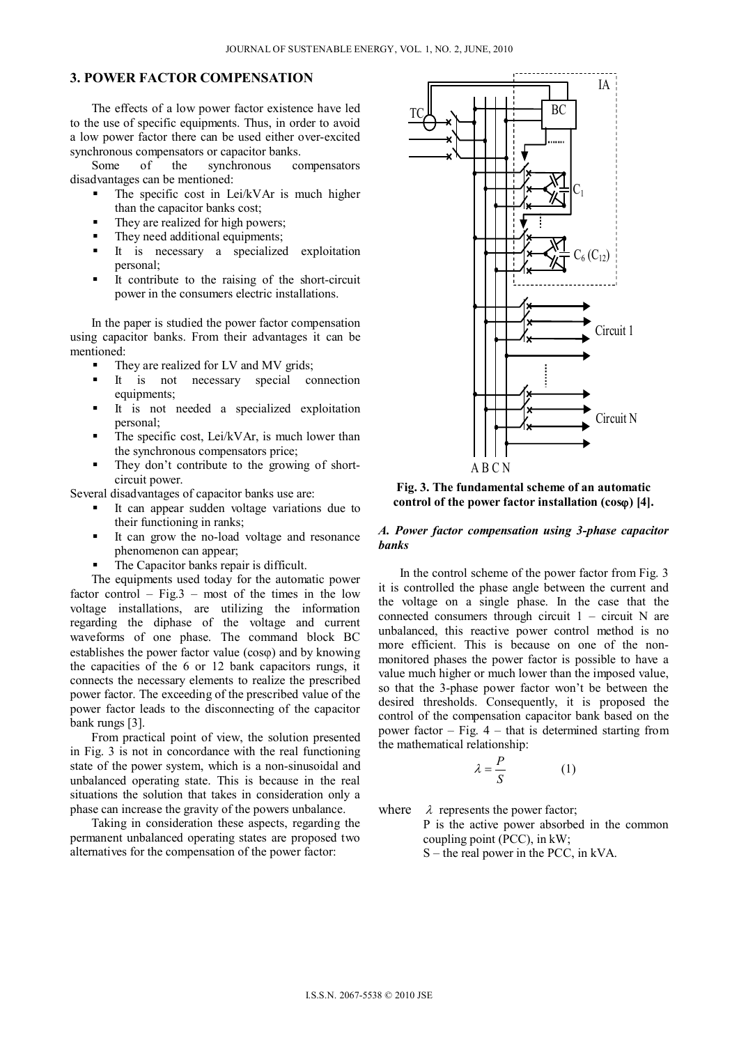## **3. POWER FACTOR COMPENSATION**

The effects of a low power factor existence have led to the use of specific equipments. Thus, in order to avoid a low power factor there can be used either over-excited synchronous compensators or capacitor banks.

Some of the synchronous compensators disadvantages can be mentioned:

- $\blacksquare$  The specific cost in Lei/kVAr is much higher than the capacitor banks cost;
- They are realized for high powers;
- They need additional equipments;
- It is necessary a specialized exploitation personal;
- It contribute to the raising of the short-circuit power in the consumers electric installations.

In the paper is studied the power factor compensation using capacitor banks. From their advantages it can be mentioned:

- They are realized for LV and MV grids;
- It is not necessary special connection equipments;
- It is not needed a specialized exploitation personal;
- $\blacksquare$  The specific cost, Lei/kVAr, is much lower than the synchronous compensators price;
- They don't contribute to the growing of shortcircuit power.

Several disadvantages of capacitor banks use are:

- It can appear sudden voltage variations due to their functioning in ranks;
- It can grow the no-load voltage and resonance phenomenon can appear;
- The Capacitor banks repair is difficult.

The equipments used today for the automatic power factor control – Fig.3 – most of the times in the low voltage installations, are utilizing the information regarding the diphase of the voltage and current waveforms of one phase. The command block BC establishes the power factor value  $(cos \varphi)$  and by knowing the capacities of the 6 or 12 bank capacitors rungs, it connects the necessary elements to realize the prescribed power factor. The exceeding of the prescribed value of the power factor leads to the disconnecting of the capacitor bank rungs [3].

From practical point of view, the solution presented in Fig. 3 is not in concordance with the real functioning state of the power system, which is a non-sinusoidal and unbalanced operating state. This is because in the real situations the solution that takes in consideration only a phase can increase the gravity of the powers unbalance.

Taking in consideration these aspects, regarding the permanent unbalanced operating states are proposed two alternatives for the compensation of the power factor:



**Fig. 3. The fundamental scheme of an automatic control of the power factor installation (cos) [4].**

#### *A. Power factor compensation using 3-phase capacitor banks*

In the control scheme of the power factor from Fig. 3 it is controlled the phase angle between the current and the voltage on a single phase. In the case that the connected consumers through circuit  $1 -$  circuit N are unbalanced, this reactive power control method is no more efficient. This is because on one of the nonmonitored phases the power factor is possible to have a value much higher or much lower than the imposed value, so that the 3-phase power factor won't be between the desired thresholds. Consequently, it is proposed the control of the compensation capacitor bank based on the power factor  $-$  Fig. 4  $-$  that is determined starting from the mathematical relationship:

$$
\lambda = \frac{P}{S} \tag{1}
$$

where  $\lambda$  represents the power factor;

P is the active power absorbed in the common coupling point (PCC), in kW; S – the real power in the PCC, in kVA.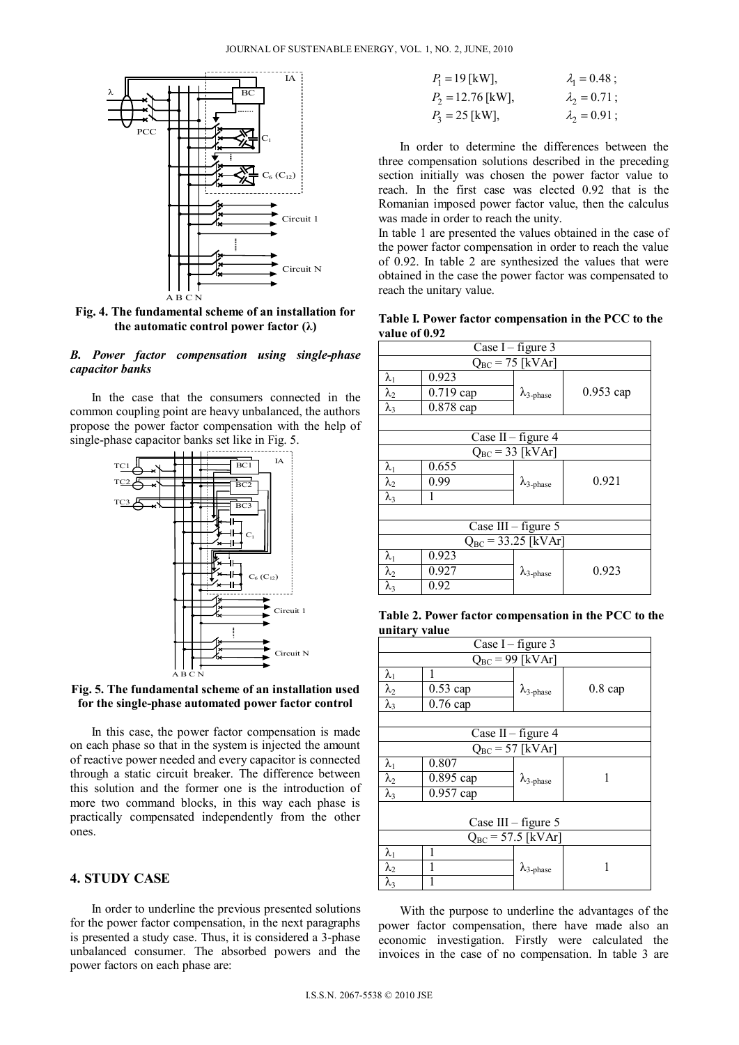

**Fig. 4. The fundamental scheme of an installation for the automatic control power factor (λ)**

#### *B. Power factor compensation using single-phase capacitor banks*

In the case that the consumers connected in the common coupling point are heavy unbalanced, the authors propose the power factor compensation with the help of single-phase capacitor banks set like in Fig. 5.



**Fig. 5. The fundamental scheme of an installation used for the single-phase automated power factor control**

In this case, the power factor compensation is made on each phase so that in the system is injected the amount of reactive power needed and every capacitor is connected through a static circuit breaker. The difference between this solution and the former one is the introduction of more two command blocks, in this way each phase is practically compensated independently from the other ones.

## **4. STUDY CASE**

In order to underline the previous presented solutions for the power factor compensation, in the next paragraphs is presented a study case. Thus, it is considered a 3-phase unbalanced consumer. The absorbed powers and the power factors on each phase are:

| $P_1 = 19$ [kW],    | $\lambda_1 = 0.48$ ; |
|---------------------|----------------------|
| $P_2 = 12.76$ [kW], | $\lambda_2 = 0.71$ ; |
| $P_3 = 25$ [kW],    | $\lambda_2 = 0.91$ ; |

In order to determine the differences between the three compensation solutions described in the preceding section initially was chosen the power factor value to reach. In the first case was elected 0.92 that is the Romanian imposed power factor value, then the calculus was made in order to reach the unity.

In table 1 are presented the values obtained in the case of the power factor compensation in order to reach the value of 0.92. In table 2 are synthesized the values that were obtained in the case the power factor was compensated to reach the unitary value.

**Table I. Power factor compensation in the PCC to the value of 0.92** 

|                         | Case I – figure $3$  |                            |             |
|-------------------------|----------------------|----------------------------|-------------|
|                         | $Q_{BC} = 75$ [kVAr] |                            |             |
| $\lambda_1$             | 0.923                |                            |             |
| $\lambda_2$             | 0.719 cap            | $\lambda_{3-\text{phase}}$ | $0.953$ cap |
| $\lambda_3$             | 0.878 cap            |                            |             |
|                         |                      |                            |             |
|                         | Case II – figure 4   |                            |             |
|                         |                      | $Q_{BC} = 33$ [kVAr]       |             |
| $\lambda_1$             | 0.655                |                            |             |
| $\lambda_2$             | 0.99                 | $\lambda_{3-\text{phase}}$ | 0.921       |
| $\lambda_3$             |                      |                            |             |
|                         |                      |                            |             |
|                         | Case III - figure 5  |                            |             |
| $Q_{BC} = 33.25$ [kVAr] |                      |                            |             |
| $\lambda_1$             | 0.923                |                            |             |
| $\lambda_2$             | 0.927                | $\lambda_{3-\text{phase}}$ | 0.923       |
| $\lambda_3$             | 0.92                 |                            |             |

**Table 2. Power factor compensation in the PCC to the unitary value** 

|                        | Case I – figure $3$  |                            |                   |
|------------------------|----------------------|----------------------------|-------------------|
|                        | $Q_{BC}$ = 99 [kVAr] |                            |                   |
| $\lambda_1$            | 1                    |                            |                   |
| $\lambda_2$            | $0.53$ cap           | $\lambda_{3-\text{phase}}$ | $0.8 \text{ cap}$ |
| $\lambda_3$            | $0.76$ cap           |                            |                   |
|                        |                      |                            |                   |
|                        | Case II – figure 4   |                            |                   |
|                        | $Q_{BC} = 57$ [kVAr] |                            |                   |
| $\lambda_1$            | 0.807                |                            |                   |
| $\lambda_2$            | $0.895$ cap          | $\lambda_{3-\text{phase}}$ |                   |
| $\lambda_3$            | 0.957 cap            |                            |                   |
|                        |                      |                            |                   |
| Case III $-$ figure 5  |                      |                            |                   |
| $Q_{BC}$ = 57.5 [kVAr] |                      |                            |                   |
| $\lambda_1$            |                      |                            |                   |
| $\lambda_2$            |                      | $\lambda_{3-\text{phase}}$ |                   |
| $\lambda_3$            |                      |                            |                   |

With the purpose to underline the advantages of the power factor compensation, there have made also an economic investigation. Firstly were calculated the invoices in the case of no compensation. In table 3 are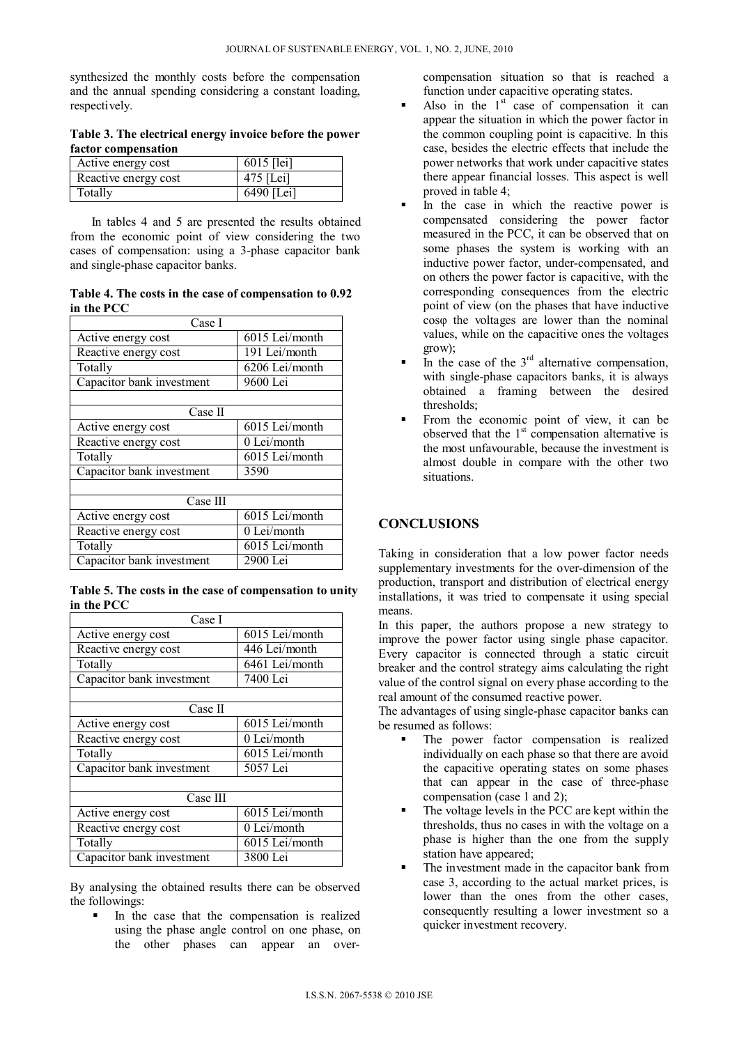synthesized the monthly costs before the compensation and the annual spending considering a constant loading, respectively.

**Table 3. The electrical energy invoice before the power factor compensation** 

| Active energy cost   | $6015$ [lei] |
|----------------------|--------------|
| Reactive energy cost | $475$ [Lei]  |
| Totally              | 6490 [Lei]   |

In tables 4 and 5 are presented the results obtained from the economic point of view considering the two cases of compensation: using a 3-phase capacitor bank and single-phase capacitor banks.

**Table 4. The costs in the case of compensation to 0.92 in the PCC** 

| Case I                    |                |  |
|---------------------------|----------------|--|
| Active energy cost        | 6015 Lei/month |  |
| Reactive energy cost      | 191 Lei/month  |  |
| Totally                   | 6206 Lei/month |  |
| Capacitor bank investment | 9600 Lei       |  |
|                           |                |  |
| Case II                   |                |  |
| Active energy cost        | 6015 Lei/month |  |
| Reactive energy cost      | 0 Lei/month    |  |
| Totally                   | 6015 Lei/month |  |
| Capacitor bank investment | 3590           |  |
|                           |                |  |
| Case III                  |                |  |
| Active energy cost        | 6015 Lei/month |  |
| Reactive energy cost      | 0 Lei/month    |  |
| Totally                   | 6015 Lei/month |  |
| Capacitor bank investment | 2900 Lei       |  |

**Table 5. The costs in the case of compensation to unity in the PCC** 

| Case I                    |                |  |
|---------------------------|----------------|--|
| Active energy cost        | 6015 Lei/month |  |
| Reactive energy cost      | 446 Lei/month  |  |
| Totally                   | 6461 Lei/month |  |
| Capacitor bank investment | 7400 Lei       |  |
|                           |                |  |
| Case II                   |                |  |
| Active energy cost        | 6015 Lei/month |  |
| Reactive energy cost      | 0 Lei/month    |  |
| Totally                   | 6015 Lei/month |  |
| Capacitor bank investment | 5057 Lei       |  |
|                           |                |  |
| Case III                  |                |  |
| Active energy cost        | 6015 Lei/month |  |
| Reactive energy cost      | 0 Lei/month    |  |
| Totally                   | 6015 Lei/month |  |
| Capacitor bank investment | 3800 Lei       |  |

By analysing the obtained results there can be observed the followings:

 In the case that the compensation is realized using the phase angle control on one phase, on the other phases can appear an overcompensation situation so that is reached a function under capacitive operating states.

- Also in the  $1<sup>st</sup>$  case of compensation it can appear the situation in which the power factor in the common coupling point is capacitive. In this case, besides the electric effects that include the power networks that work under capacitive states there appear financial losses. This aspect is well proved in table 4;
- In the case in which the reactive power is compensated considering the power factor measured in the PCC, it can be observed that on some phases the system is working with an inductive power factor, under-compensated, and on others the power factor is capacitive, with the corresponding consequences from the electric point of view (on the phases that have inductive cosφ the voltages are lower than the nominal values, while on the capacitive ones the voltages grow);
- In the case of the  $3<sup>rd</sup>$  alternative compensation, with single-phase capacitors banks, it is always obtained a framing between the desired thresholds;
- From the economic point of view, it can be observed that the  $1<sup>st</sup>$  compensation alternative is the most unfavourable, because the investment is almost double in compare with the other two situations.

# **CONCLUSIONS**

Taking in consideration that a low power factor needs supplementary investments for the over-dimension of the production, transport and distribution of electrical energy installations, it was tried to compensate it using special means.

In this paper, the authors propose a new strategy to improve the power factor using single phase capacitor. Every capacitor is connected through a static circuit breaker and the control strategy aims calculating the right value of the control signal on every phase according to the real amount of the consumed reactive power.

The advantages of using single-phase capacitor banks can be resumed as follows:

- The power factor compensation is realized individually on each phase so that there are avoid the capacitive operating states on some phases that can appear in the case of three-phase compensation (case 1 and 2);
- The voltage levels in the PCC are kept within the thresholds, thus no cases in with the voltage on a phase is higher than the one from the supply station have appeared;
- The investment made in the capacitor bank from case 3, according to the actual market prices, is lower than the ones from the other cases, consequently resulting a lower investment so a quicker investment recovery.